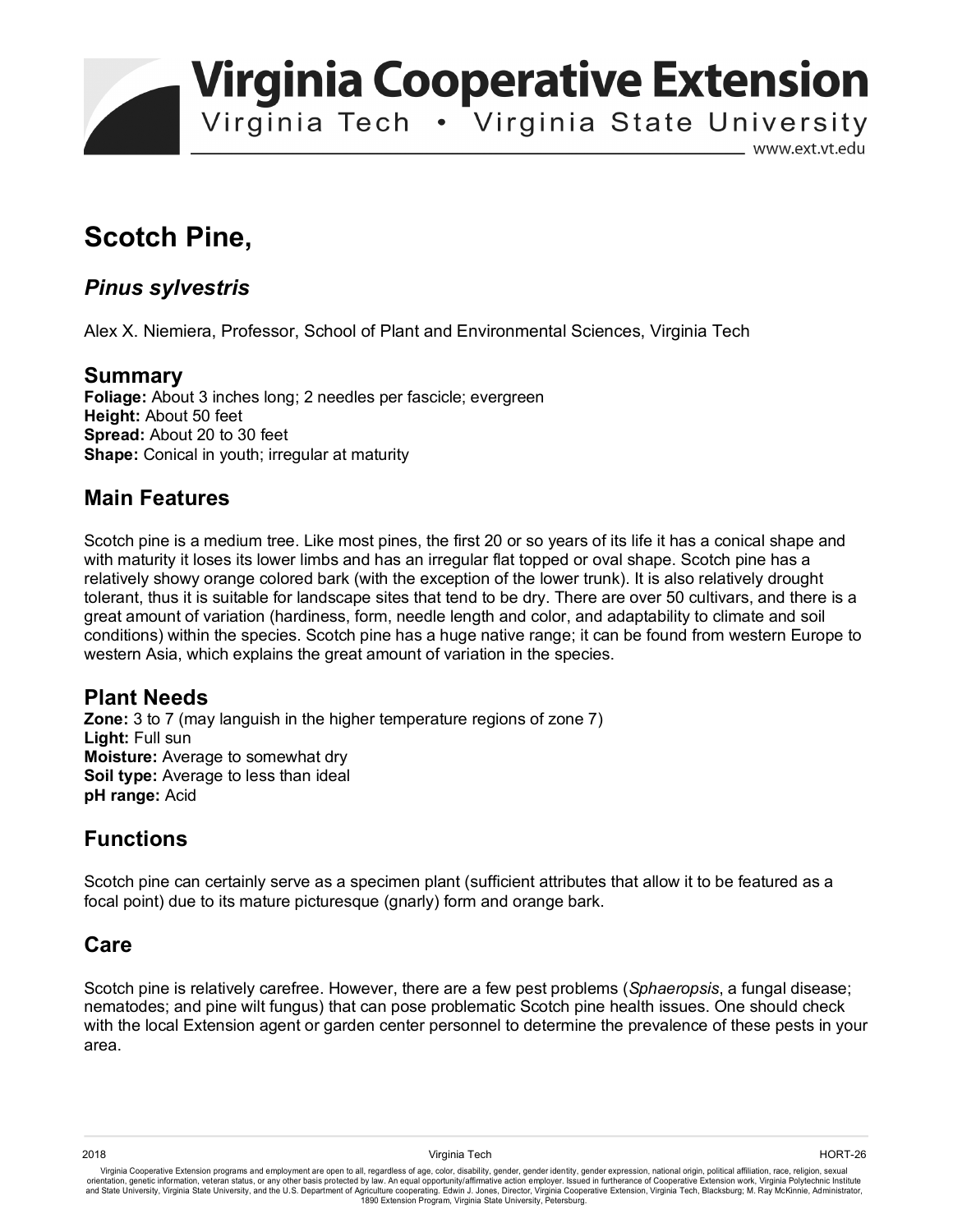**Virginia Cooperative Extension** 

Virginia Tech . Virginia State University

www.ext.vt.edu

# **Scotch Pine,**

### *Pinus sylvestris*

Alex X. Niemiera, Professor, School of Plant and Environmental Sciences, Virginia Tech

#### **Summary**

**Foliage:** About 3 inches long; 2 needles per fascicle; evergreen **Height:** About 50 feet **Spread:** About 20 to 30 feet **Shape:** Conical in youth; irregular at maturity

#### **Main Features**

Scotch pine is a medium tree. Like most pines, the first 20 or so years of its life it has a conical shape and with maturity it loses its lower limbs and has an irregular flat topped or oval shape. Scotch pine has a relatively showy orange colored bark (with the exception of the lower trunk). It is also relatively drought tolerant, thus it is suitable for landscape sites that tend to be dry. There are over 50 cultivars, and there is a great amount of variation (hardiness, form, needle length and color, and adaptability to climate and soil conditions) within the species. Scotch pine has a huge native range; it can be found from western Europe to western Asia, which explains the great amount of variation in the species.

#### **Plant Needs**

**Zone:** 3 to 7 (may languish in the higher temperature regions of zone 7) **Light:** Full sun **Moisture:** Average to somewhat dry **Soil type:** Average to less than ideal **pH range:** Acid

## **Functions**

Scotch pine can certainly serve as a specimen plant (sufficient attributes that allow it to be featured as a focal point) due to its mature picturesque (gnarly) form and orange bark.

#### **Care**

Scotch pine is relatively carefree. However, there are a few pest problems (*Sphaeropsis*, a fungal disease; nematodes; and pine wilt fungus) that can pose problematic Scotch pine health issues. One should check with the local Extension agent or garden center personnel to determine the prevalence of these pests in your area.

Virginia Cooperative Extension programs and employment are open to all, regardless of age, color, disability, gender, gender identity, gender expression, national origin, political affiliation, race, religion, sexual orientation, genetic information, veteran status, or any other basis protected by law. An equal opportunity/affirmative action employer. Issued in furtherance of Cooperative Extension work, Virginia Polytechnic Institute<br>a 1890 Extension Program, Virginia State University, Petersburg.